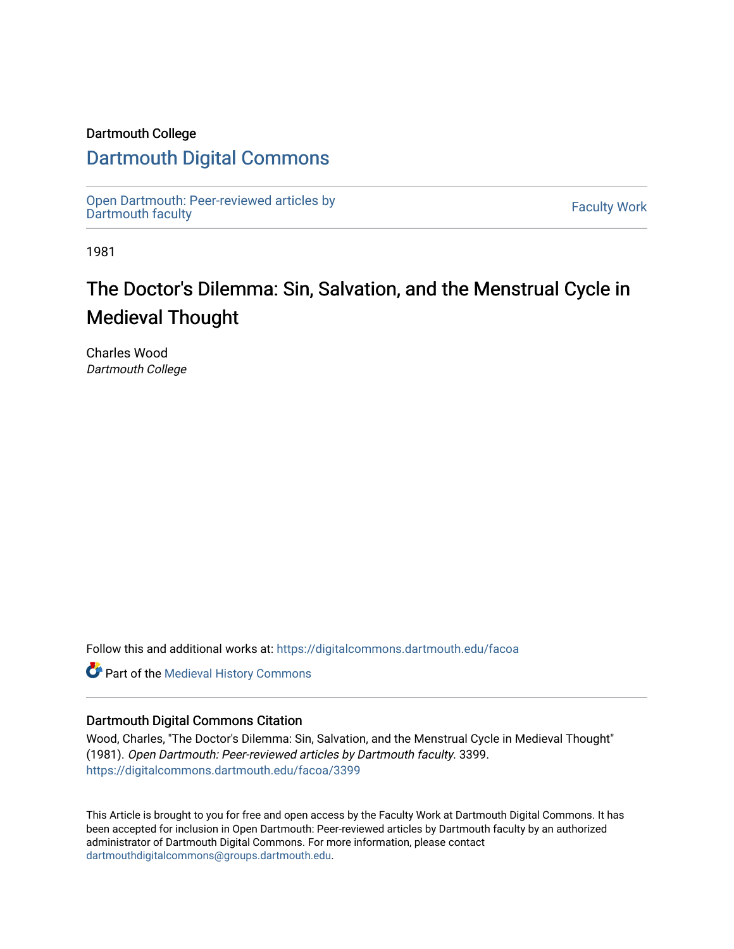#### Dartmouth College

### [Dartmouth Digital Commons](https://digitalcommons.dartmouth.edu/)

[Open Dartmouth: Peer-reviewed articles by](https://digitalcommons.dartmouth.edu/facoa)  Open Dartmouth Feel-Teviewed articles by<br>[Dartmouth faculty](https://digitalcommons.dartmouth.edu/facoa)

1981

## The Doctor's Dilemma: Sin, Salvation, and the Menstrual Cycle in Medieval Thought

Charles Wood Dartmouth College

Follow this and additional works at: [https://digitalcommons.dartmouth.edu/facoa](https://digitalcommons.dartmouth.edu/facoa?utm_source=digitalcommons.dartmouth.edu%2Ffacoa%2F3399&utm_medium=PDF&utm_campaign=PDFCoverPages)

Part of the [Medieval History Commons](http://network.bepress.com/hgg/discipline/503?utm_source=digitalcommons.dartmouth.edu%2Ffacoa%2F3399&utm_medium=PDF&utm_campaign=PDFCoverPages)

#### Dartmouth Digital Commons Citation

Wood, Charles, "The Doctor's Dilemma: Sin, Salvation, and the Menstrual Cycle in Medieval Thought" (1981). Open Dartmouth: Peer-reviewed articles by Dartmouth faculty. 3399. [https://digitalcommons.dartmouth.edu/facoa/3399](https://digitalcommons.dartmouth.edu/facoa/3399?utm_source=digitalcommons.dartmouth.edu%2Ffacoa%2F3399&utm_medium=PDF&utm_campaign=PDFCoverPages) 

This Article is brought to you for free and open access by the Faculty Work at Dartmouth Digital Commons. It has been accepted for inclusion in Open Dartmouth: Peer-reviewed articles by Dartmouth faculty by an authorized administrator of Dartmouth Digital Commons. For more information, please contact [dartmouthdigitalcommons@groups.dartmouth.edu](mailto:dartmouthdigitalcommons@groups.dartmouth.edu).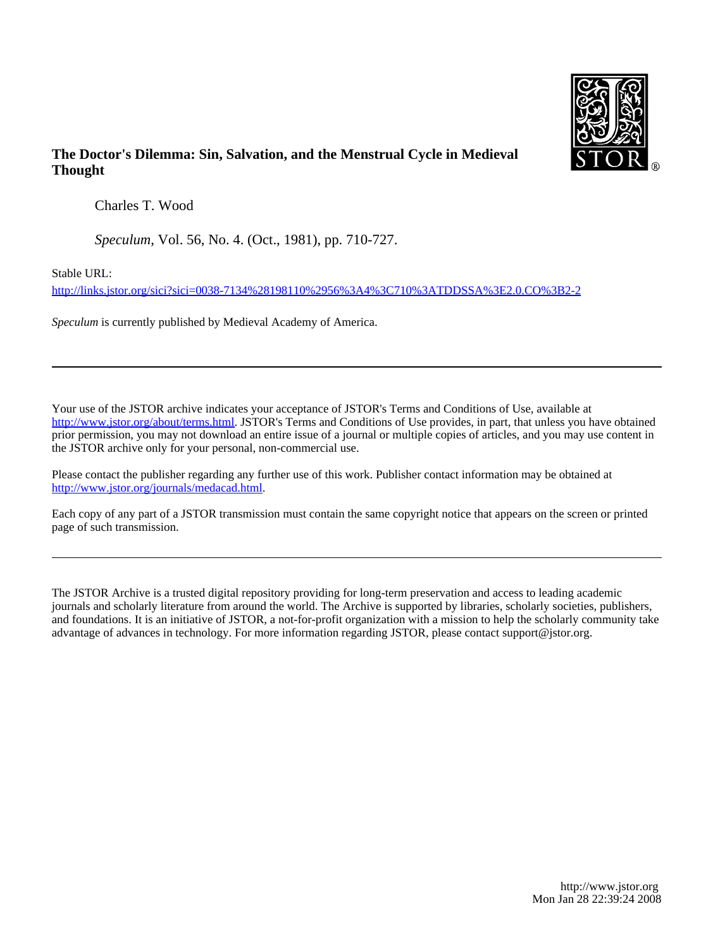

#### **The Doctor's Dilemma: Sin, Salvation, and the Menstrual Cycle in Medieval Thought**

Charles T. Wood

*Speculum*, Vol. 56, No. 4. (Oct., 1981), pp. 710-727.

Stable URL:

<http://links.jstor.org/sici?sici=0038-7134%28198110%2956%3A4%3C710%3ATDDSSA%3E2.0.CO%3B2-2>

*Speculum* is currently published by Medieval Academy of America.

Your use of the JSTOR archive indicates your acceptance of JSTOR's Terms and Conditions of Use, available at [http://www.jstor.org/about/terms.html.](http://www.jstor.org/about/terms.html) JSTOR's Terms and Conditions of Use provides, in part, that unless you have obtained prior permission, you may not download an entire issue of a journal or multiple copies of articles, and you may use content in the JSTOR archive only for your personal, non-commercial use.

Please contact the publisher regarding any further use of this work. Publisher contact information may be obtained at <http://www.jstor.org/journals/medacad.html>.

Each copy of any part of a JSTOR transmission must contain the same copyright notice that appears on the screen or printed page of such transmission.

The JSTOR Archive is a trusted digital repository providing for long-term preservation and access to leading academic journals and scholarly literature from around the world. The Archive is supported by libraries, scholarly societies, publishers, and foundations. It is an initiative of JSTOR, a not-for-profit organization with a mission to help the scholarly community take advantage of advances in technology. For more information regarding JSTOR, please contact support@jstor.org.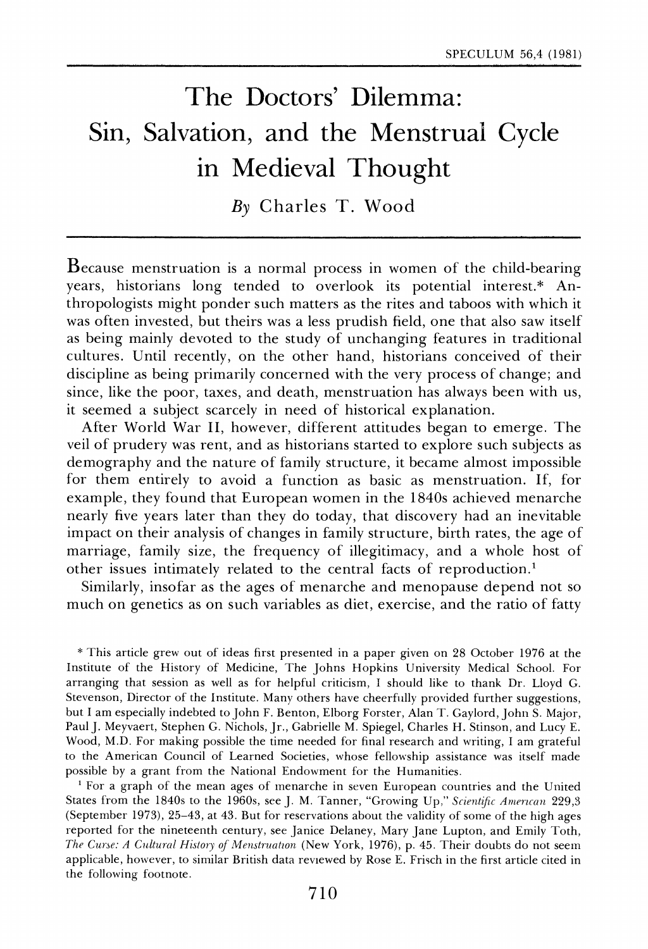# The Doctors' Dilemma: Sin, Salvation, and the Menstruai Cycle in Medieval Thought

By Charles T. Wood

Because menstruation is a normal process in women of the child-bearing years, historians long tended to overlook its potential interest.\* Anthropologists might ponder such matters as the rites and taboos with which it was often invested, but theirs was a less prudish field, one that also saw itself as being mainly devoted to the study of unchanging features in traditional cultures. Until recently, on the other hand, historians conceived of their discipline as being primarily concerned with the very process of change; and since, like the poor, taxes, and death, menstruation has always been with us, it seemed a subject scarcely in need of historical explanation.

After World War 11, however, different attitudes began to emerge. The veil of prudery was rent, and as historians started to explore such subjects as demography and the nature of family structure, it became almost impossible for them entirely to avoid a function as basic as menstruation. If, for example, they found that European women in the 1840s achieved menarche nearly five years later than they do today, that discovery had an inevitable impact on their analysis of changes in family structure, birth rates, the age of marriage, family size, the frequency of illegitimacy, and a whole host of other issues intimately related to the central facts of reproduction.<sup>1</sup>

Similarly, insofar as the ages of menarche and menopause depend not so much on genetics as on such variables as diet, exercise, and the ratio of fatty

\* This article grew out of ideas first presented in a paper given on 28 October 1976 at the Institute of the Mirtory of Medicine, The Johns Mopkins University Medical School. For arranging that session as well as for helpful criticism, I should like to thank Dr. Lloyd G. Stevenson, Director of the Institute. Many others have cheerfully provided further suggestions, but I am especially indebted to John F. Benton, Elborg Forster, Alan T. Gaylord, John S. Major, Paul J. Meyvaert, Stephen G. Nichols, Jr., Gabrielle M. Spiegel, Charles H. Stinson, and Lucy E. Wood, M.D. For making possible the time needed for final research and writing, I am grateful to the American Council of Learned Societies, whose fellowship assistance was itself made possible by a grant from the National Endowment for the Humanities.

<sup>1</sup> For a graph of the mean ages of menarche in seven European countries and the United States from the 1840s to the 1960s, see J. M. Tanner, "Growing Up," Scientific American 229,3 (September 1973), 25-43, at 43. But for rescrrations about the validity of some of the high ages reported for the nineteenth century, see Janice Delaney, Mary Jane Lupton, and Emily Toth, *The Curse: A Cultural History of Menstruation* (New York, 1976), p. 45. Their doubts do not seem applicable, however, to similar British data reviewed by Rose E. Frisch in the first article cited in the following footnote.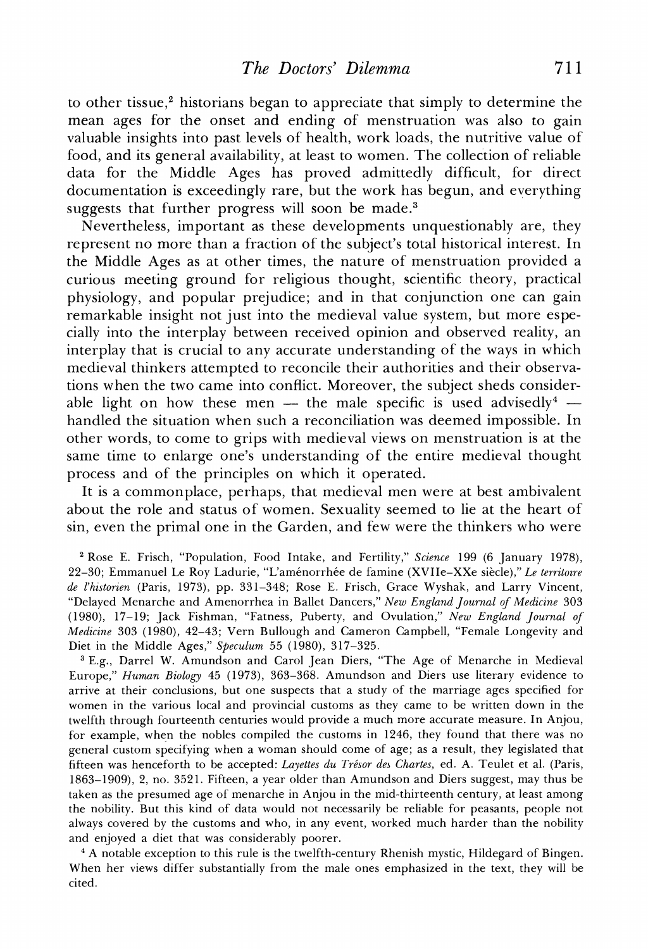to other tissue, $<sup>2</sup>$  historians began to appreciate that simply to determine the</sup> mean ages for the onset and ending of menstruation was also to gain valuable insights into past levels of health, work loads, the nutritive value of food, and its general availability, at least to women. The collection of reliable data for the Middle Ages has proved admittedly difficult, for direct documentation is exceedingly rare, but the work has begun, and everything suggests that further progress will soon be made.<sup>3</sup>

Nevertheless, important as these developments unquestionably are, they represent no more than a fraction of the subject's total historical interest. In the Middle Ages as at other times, the nature of menstruation provided a curious meeting ground for religious thought, scientific theory, practical physiology, and popular prejudice; and in that conjunction one can gain remarkable insight not just into the medieval value system, but more especially into the interplay between received opinion and observed reality, an interplay that is crucial to any accurate understanding of the ways in which medieval thinkers attempted to reconcile their authorities and their observations when the two came into conflict. Moreover, the subject sheds considerable light on how these men — the male specific is used advisedly<sup>4</sup> handled the situation when such a reconciliation was deemed impossible. In other words, to come to grips with medieval views on menstruation is at the same time to enlarge one's understanding of the entire medieval thought process and of the principles on which it operated.

It is a commonplace, perhaps, that medieval men were at best ambivalent about the role and status of women. Sexuality seemed to lie at the heart of sin, even the primal one in the Garden, and few were the thinkers who were

Rose E. Frisch, "Population, Food Intake, and Fertility," *Science* 199 (6 January 1978), 22-30; Emmanuel Le Roy Ladurie, "L'amenorrhee de famine (XVIIe-XXe siecle)," *Le territozre cle l'hzstorzeiz* (Paris, 1973), pp. 331-348; Rose E. Frisch, Grace Wyshak, and Larry Vincent, "Delayed Menarche and Amenorrhea in Ballet Dancers," *New England Journal of Medicine* 303 (1980), 17-19; Jack Fishman, "Fatness, Puberty, and Ovulation," *New England Journal of Meclzczne* 303 (1980), 42-43; Vern Bullough and Cameron Campbell, "Female Longevity and Diet in the Middle Ages," *Speculum* 55 (1980), 317-325.

<sup>3</sup> E.g., Darrel W. Amundson and Carol Jean Diers, "The Age of Menarche in Medieval Europe," *Human Bzology* 45 (1973), 363-368. Amundson and Diers use literary evidence to arrive at their conclusions, but one suspects that a study of the marriage ages specified for women in the various local and provincial customs as they came to be written down in the twelfth through fourteenth centuries would provide a much more accurate measure. In Anjou, for example, when the nobles compiled the customs in 1246, they found that there was no general custom specifying when a woman should come of age; as a result, they legislated that fifteen was henceforth to be accepted: *Layettes du Trésor des Chartes*, ed. A. Teulet et al. (Paris, 1863-1909), 2, no. 3521. Fifteen, a year older than Amundson and Diers suggest, may thus be taken as the presumed age of menarche in Anjou in the mid-thirteenth century, at least among the nobility. But this kind of data would not necessarily be reliable for peasants, people not always covered by the customs and who, in any event, worked much harder than the nobility and enjoyed a diet that was considerably poorer.

<sup>4</sup> A notable exception to this rule is the twelfth-century Rhenish mystic, Hildegard of Bingen. When her views differ substantially from the male ones emphasized in the text, they will be cited.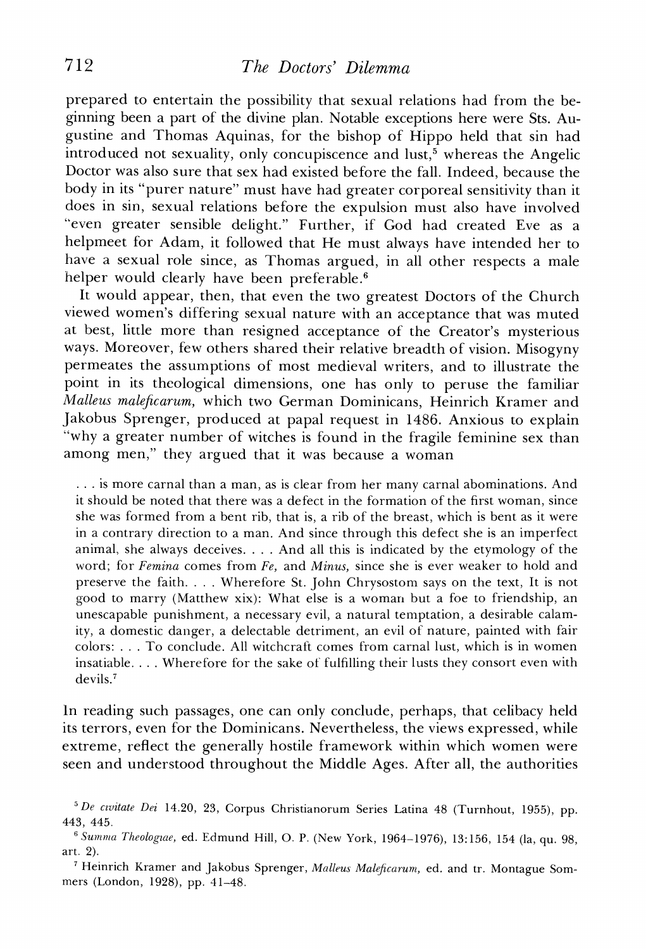prepared to entertain the possibility that sexual relations had from the beginning been a part of the divine plan, Notable exceptions here were sts. Augustine and Thomas Aquinas, for the bishop of Hippo held that sin had introduced not sexuality, only concupiscence and lust,<sup>5</sup> whereas the Angelic Doctor was also sure that sex had existed before the fall. Indeed, because the body in its "purer nature" must have had greater corporeal sensitivity than it does in sin, sexual relations before the expulsion must also have involved "even greater sensible delight." Further, if God had created Eve as a helpmeet for Adam, it followed that He must always have intended her to have a sexual role since, as Thomas argued, in all other respects a male helper would clearly have been preferable. $6$ 

It would appear, then, that even the two greatest Doctors of the Church viewed women's differing sexual nature with an acceptance that was muted at best, little more than resigned acceptance of the Creator's mysterious ways. Moreover, few others shared their relative breadth of vision. Misogyny permeates the assumptions of most medieval writers, and to illustrate the point in its theological dimensions, one has only to peruse the familiar *Malleus maleficarum,* which two German Dominicans, Heinrich Kramer and Jakobus Sprenger, produced at papal request in 1486. Anxious to explain "why a greater number of witches is found in the fragile feminine sex than among men," they argued that it was because a woman

... is more carnal than a man, as is clear from her many carnal abominations. And it should be noted that there was a defect in the formation of the first woman, since she was formed from a bent rib, that is, a rib of the breast, which is bent as it were in a contrary direction to a man. And since through this defect she is an imperfect animal, she always deceives. . . . And all this is indicated by the etymology of the word; for *Femina* comes from Fe, and *Minus*, since she is ever weaker to hold and preserve the faith. . . . Wherefore St. John Chrysostom says on the text, It is not good to marry (Matthew xix): What else is a woman but a foe to friendship, an unescapable punishment, a necessary evil, a natural temptation, a desirable calamity, a domestic danger, a delectable detriment, an evil of nature, painted with fair  $colors: . . . . To conclude. All without comes from cardinal lust, which is in women$ insatiable.  $\dots$  Wherefore for the sake of fulfilling their lusts they consort even with devils.'

In reading such passages, one can only conclude, perhaps, that celibacy held its terrors, even for the Dominicans. Nevertheless, the views expressed, while extreme, reflect the generally hostile framework within which women were seen and understood throughout the Middle Ages. After all, the authorities

*<sup>&#</sup>x27;DP cll~itat~ DPZ* 14.20, *23,* Corpus Christianorum Series Latina 48 (Turnhout, 1995), pp. 443, 449.

*<sup>&</sup>quot;Su~riniu Ti~eologzcte,* ed. Eclmund Hill, 0.P. (New York, 1964-1976), 13:156, 194 (la, qu. 98, art. 2).

Heinrich Kramer and Jakobus Sprenger, *Malleus Maleficarum*, ed. and tr. Montague Sommers (London, 1928), pp. 41-48,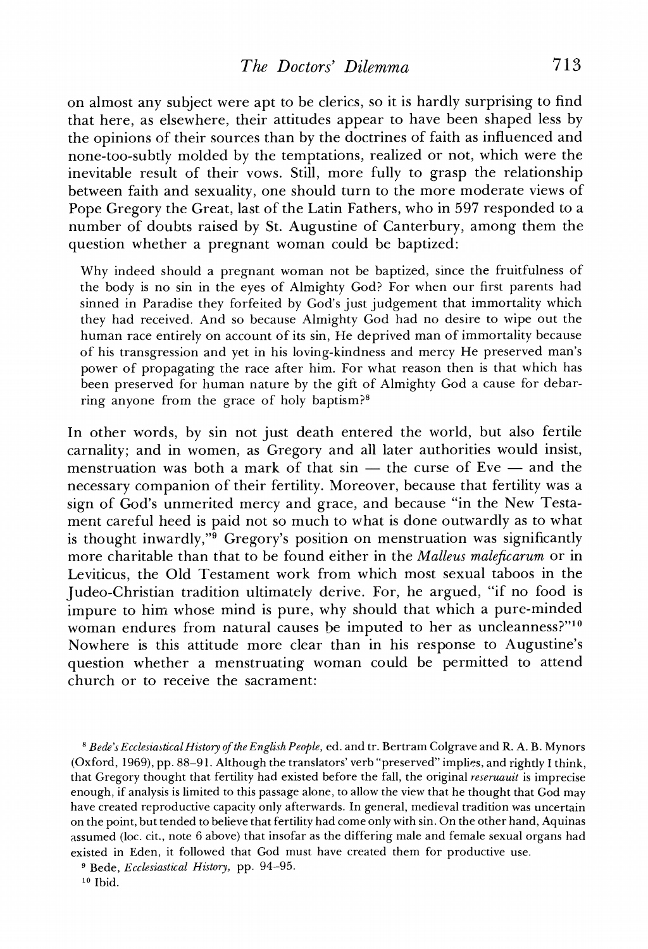on almost any subject were apt to be clerics, so it is hardly surprising to find that here, as elsewhere, their attitudes appear to have been shaped less by the opinions of their sources than by the doctrines of faith as influenced and none-too-subtly molded by the temptations, realized or not, which were the inevitable result of their vows. Still, more fully to grasp the relationship between faith and sexuality, one should turn to the more moderate views of Pope Gregory the Great, last of the Latin Fathers, who in 597 responded to a number of doubts raised by St. Augustine of Canterbury, among them the question whether a pregnant woman could be baptized:

Why indeed should a pregnant woman not be baptized, since the fruitfulness of the body is no sin in the eyes of Almighty God? For when our first parents had sinned in Paradise they forfeited by God's just judgement that immortality which they had received. And so because Almighty God had no desire to wipe out the human race entirely on account of its sin, He deprived man of immortality because of his transgression and yet in his loving-kindness and mercy He preserved man's power of propagating the race after him. For what reason then is that which has been preserved for human nature by the gift of Almighty God a cause for debarring anyone from the grace of holy baptism?<sup>8</sup>

In other words, by sin not just death entered the world, but also fertile carnality; and in women, as Gregory and all later authorities would insist, menstruation was both a mark of that  $sin$  - the curse of Eve - and the necessary companion of their fertility. Moreover, because that fertility was a sign of God's unmerited mercy and grace, and because "in the New Testament careful heed is paid not so much to what is done outwardly as to what is thought inwardly," $9$  Gregory's position on menstruation was significantly more charitable than that to be found either in the *Malleus malejcarum* or in Leviticus, the Old Testament work from which most sexual taboos in the Judeo-Christian tradition ultimately derive. For, he argued, "if no food is impure to him whose mind is pure, why should that which a pure-minded woman endures from natural causes be imputed to her as uncleanness?"<sup>10</sup> Nowhere is this attitude more clear than in his response to Augustine's question whether a menstruating woman could be permitted to attend church or to receive the sacrament:

*Be&'.\ Eccle.\ia~ticalHi~to~ ofthe Englz~h People,* ed. and tr. Bertram Colgrave and R. A. B. Mynors (Oxford, 1969), pp. 88-91. Although the translators' verb "preserved" implies, and rightly I think, that Gregory thought that fertility had existed before the fall, the original *reseruauit* is imprecise enough, if analysis is limited to this passage alone, to allow the view that he thought that God may have created reproductive capacity only afterwards. In general, medieval tradition was uncertain on the point, but tended to believe that fertility had come only with sin. On the other hand, Aquinas assumed (loc. cit., note 6 above) that insofar as the differing male and female sexual organs had existed in Eden, it followed that God must have created them for productive use.

9 Bede, *Ecclesiastical History,* pp. 94-95.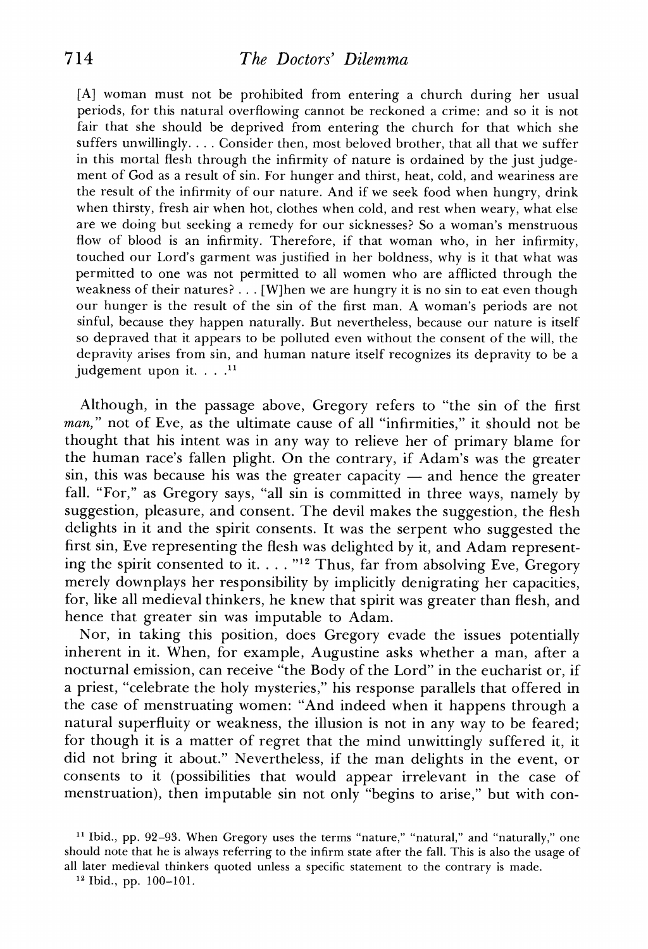[A] woman must not be prohibited from entering a church during her usual periods, for this natural overflowing cannot be reckoned a crime: and so it is not fair that she should be deprived from entering the church for that which she suffers unwillingly. . . . Consider then, most beloved brother, that all that we suffer in this mortal flesh through the infirmity of nature is ordained by the just judgement of God as a result of sin. For hunger and thirst, heat, cold, and weariness are the result of the infirmity of our nature. And if we seek food when hungry, drink when thirsty, fresh air when hot, clothes when cold, and rest when weary, what else are we doing but seeking a remedy for our sicknesses? So a woman's menstruous flow of blood is an infirmity. Therefore, if that woman who, in her infirmity, touched our Lord's garment was justified in her boldness, why is it that what was permitted to one was not permitted to all women who are afflicted through the weakness of their natures? . . . [Wlhen we are hungry it is no sin to eat even though our hunger is the result of the sin of the first man. A woman's periods are not sinful, because they happen naturally. But nevertheless, because our nature is itself so depraved that it appears to be polluted even without the consent of the will, the depravity arises from sin, and human nature itself recognizes its depravity to be a judgement upon it. . . **.I1** 

Although, in the passage above, Gregory refers to "the sin of the first man," not of Eve, as the ultimate cause of all "infirmities," it should not be thought that his intent was in any way to relieve her of primary blame for the human race's fallen plight. On the contrary, if Adam's was the greater thought that his intent was in any way to relieve her of primary blame for<br>the human race's fallen plight. On the contrary, if Adam's was the greater<br>sin, this was because his was the greater capacity — and hence the great fall. "For," as Gregory says, "all sin is committed in three ways, namely by suggestion, pleasure, and consent. The devil makes the suggestion, the flesh delights in it and the spirit consents. It was the serpent who suggested the first sin, Eve representing the flesh was delighted by it, and Adam representing the spirit consented to it. . . . "<sup>12</sup> Thus, far from absolving Eve, Gregory merely downplays her responsibility by implicitly denigrating her capacities, for, like all medieval thinkers, he knew that spirit was greater than flesh, and hence that greater sin was imputable to Adam.

Nor, in taking this position, does Gregory evade the issues potentially inherent in it. When, for example, Augustine asks whether a man, after a nocturnal emission, can receive "the Body of the Lord" in the eucharist or, if a priest, "celebrate the holy mysteries," his response parallels that offered in the case of menstruating women: "And indeed when it happens through a natural superfluity or weakness, the illusion is not in any way to be feared; for though it is a matter of regret that the mind unwittingly suffered it, it did not bring it about." Nevertheless, if the man delights in the event, or consents to it (possibilities that would appear irrelevant in the case of menstruation), then imputable sin not only "begins to arise," but with con-

**l1** Ibid., pp. 92-93. When Gregory uses the terms "nature," "natural," and "naturally," one should note that he is always referring to the infirm state after the fall. This is also the usage of all later medieval thinkers quoted unless a specific statement to the contrary is made.

**l2** Ibid., pp. 100-101.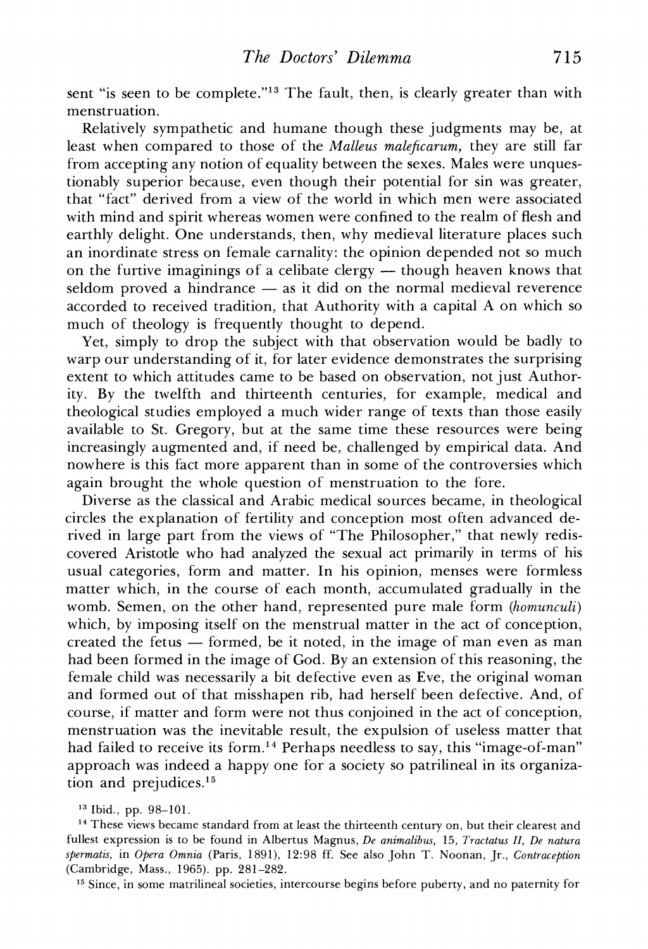sent "is seen to be complete."<sup>13</sup> The fault, then, is clearly greater than with menstruation.

Relatively sympathetic and humane though these judgments may be, at least when compared to those of the *Malleus maleficarum,* they are still far from accepting any notion of equality between the sexes. Males were unquestionably superior because, even though their potential for sin was greater, that "fact" derived from a view of the world in which men were associated with mind and spirit whereas women were confined to the realm of flesh and earthly delight. One understands, then, why medieval literature places such an inordinate stress on female carnality: the opinion depended not so much earthly delight. One understands, then, why medieval literature places such<br>an inordinate stress on female carnality: the opinion depended not so much<br>on the furtive imaginings of a celibate clergy — though heaven knows th an inordinate stress on temale carnality: the opinion depended not so much<br>on the furtive imaginings of a celibate clergy — though heaven knows that<br>seldom proved a hindrance — as it did on the normal medieval reverence accorded to received tradition, that Authority with a capital A on which so much of theology is frequently thought to depend.

Yet, simply to drop the subject with that observation would be badly to warp our understanding of it, for later evidence demonstrates the surprising extent to which attitudes came to be based on observation, not just Authority. By the twelfth and thirteenth centuries, for example, medical and theological studies employed a much wider range of texts than those easily available to St. Gregory, but at the same time these resources were being increasingly augmented and, if need be, challenged by empirical data. And nowhere is this fact more apparent than in some of the controversies which again brought the whole question of menstruation to the fore.

Diverse as the classical and Arabic medical sources became, in theological circles the explanation of fertility and conception most often advanced derived in large part from the views of "The Philosopher," that newly rediscovered Aristotle who had analyzed the sexual act primarily in terms of his usual categories, form and matter. In his opinion, menses were formless matter which, in the course of each month, accumulated gradually in the womb. Semen, on the other hand, represented pure male form *(homunculi)*  which, by imposing itself on the menstrual matter in the act of conception, created the fetus  $-$  formed, be it noted, in the image of man even as man had been formed in the image of God. By an extension of this reasoning, the female child was necessarily a bit defective even as Eve, the original woman and formed out of that misshapen rib, had herself been defective. And, of course, if matter and form were not thus conjoined in the act of conception, menstruation was the inevitable result, the expulsion of useless matter that had failed to receive its form.<sup>14</sup> Perhaps needless to say, this "image-of-man" approach was indeed a happy one for a society so patrilineal in its organization and prejudices.15

**l4** These views became standard from at least the thirteenth century on, but their clearest and fullest expression is to be found in Albertus Magnus, *De animalibus*, 15, *Tractatus II*, *De natura spermatis,* in *Opera Omnia* (Paris, 1891), 12:98 ff. See also John T. Noonan, Jr., *Contraception*  (Cambridge, Mass.. 1965). pp. 281-282.

**l5** Since, in some matrilineal societies, intercourse begins before puberty, and no paternity for

<sup>&</sup>lt;sup>13</sup> Ibid., pp. 98-101.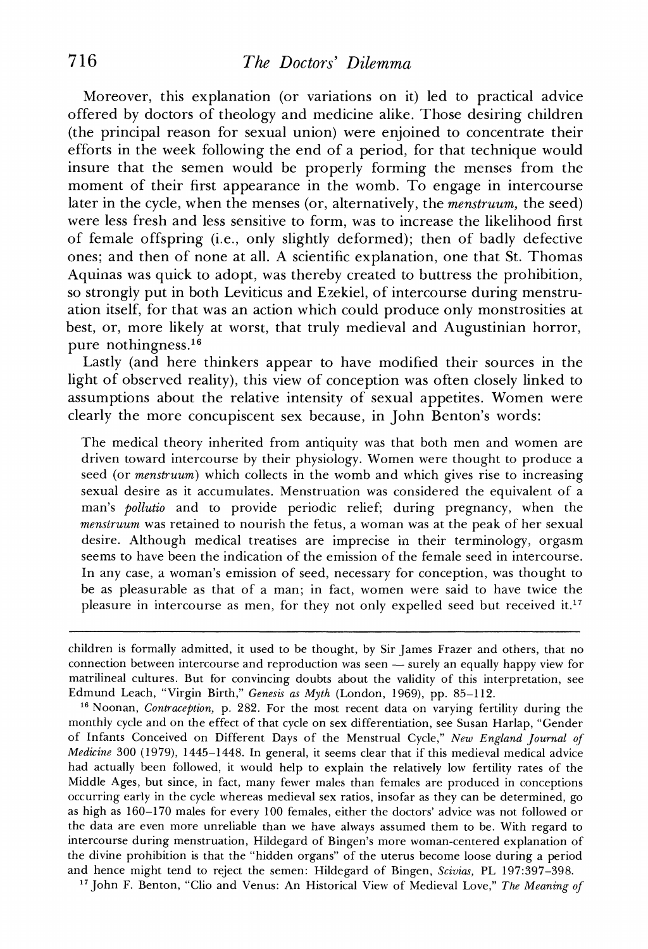Moreover, this explanation (or variations on it) led to practical advice offered by doctors of theology and medicine alike. Those desiring children (the principal reason for sexual union) were enjoined to concentrate their efforts in the week following the end of a period, for that technique would insure that the semen would be properly forming the menses from the moment of their first appearance in the womb. To engage in intercourse later in the cycle, when the menses (or, alternatively, the *menstruum,* the seed) were less fresh and less sensitive to form, was to increase the likelihood first of female offspring (i.e., only slightly deformed); then of badly defective ones; and then of none at all. A scientific explanation, one that St. Thomas Aquinas was quick to adopt, was thereby created to buttress the prohibition, so strongly put in both Leviticus and Ezekiel, of intercourse during menstruation itself, for that was an action which could produce only monstrosities at best, or, more likely at worst, that truly medieval and Augustinian horror, pure nothingness.16

Lastly (and here thinkers appear to have modified their sources in the light of observed reality), this view of conception was often closely linked to assumptions about the relative intensity of sexual appetites. Women were clearly the more concupiscent sex because, in John Benton's words:

The medical theory inherited from antiquity was that both men and women are driven toward intercourse by their physiology. Women were thought to produce a seed (or *menstruum)* which collects in the womb and which gives rise to increasing sexual desire as it accumulates. Menstruation was considered the equivalent of a man's *pollutio* and to provide periodic relief; during pregnancy, when the *mensiruun~*was retained to nourish the fetus, a woman was at the peak of her sexual desire. Although medical treatises are imprecise in their terminology, orgasm seems to have been the indication of the emission of the female seed in intercourse. In any case, a woman's emission of seed, necessary for conception, was thought to be as pleasurable as that of a man; in fact, women were said to have twice the pleasure in intercourse as men, for they not only expelled seed but received it.<sup>17</sup>

**l6** Noonan, *Contraception,* p. 282. For the most recent data on varying fertility during the monthiy cycle and on the effect of that cycle on sex differentiation, see Susan Harlap, "Gender of Infants Conceived on Different Days of the Menstrual Cycle," *New England Journal of Medicine* 300 (1979), 1445-1448. In general, it seems clear that if this medieval medical advice had actually been followed, it would help to explain the relatively low fertility rates of the Middle Ages, but since, in fact, many fewer males than females are produced in conceptions occurring early in the cycle whereas medieval sex ratios, insofar as they can be determined, go as high as 160-170 males for every 100 females, either the doctors' advice was not followed or the data are even more unreliable than we have always assumed them to be. With regard to intercourse during menstruation, Hildegard of Bingen's more woman-centered explanation of the divine prohibition is that the "hidden organs" of the uterus become loose during a period and hence might tend to reject the semen: Hildegard of Bingen, *Scivias*, PL 197:397-398.

**l7** John F. Benton, "Clio and Venus: An Historical View of Medieval Love," The *Meaning of* 

children is formally admitted, it used to be thought, by Sir James Frazer and others, that no connection between intercourse and reproduction was seen — surely an equally happy view for matrilineal cuitures. But for convincing doubts about the validity of this interpretation, see Edmund Leach, "Virgin Birth," *Genesis as Myth* (London, 1969), pp. 85-112.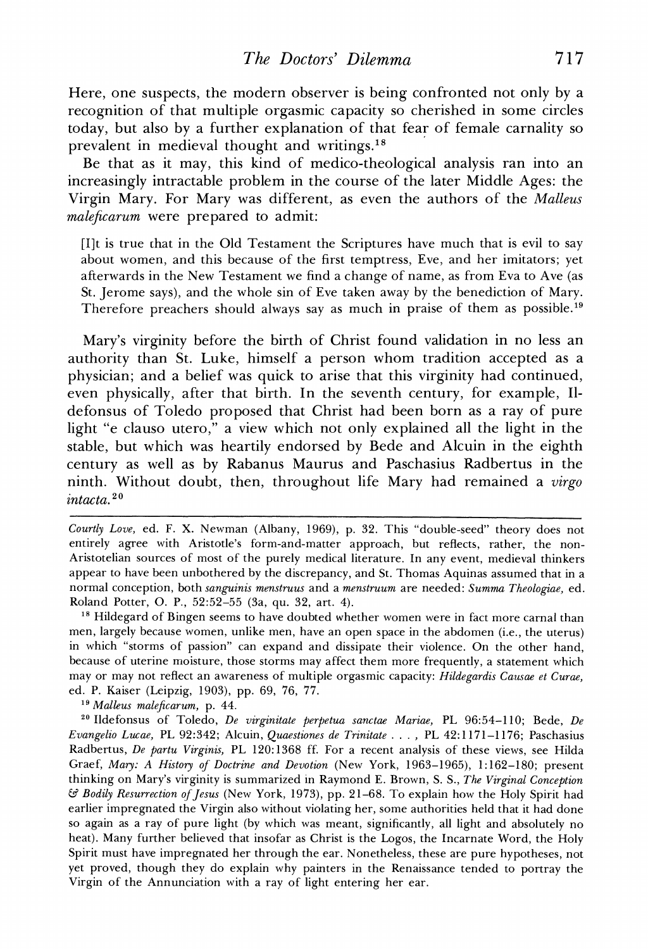Here, one suspects, the modern observer is being confronted not only by a recognition of that multiple orgasmic capacity so cherished in some circles today, but also by a further explanation of that fear of female carnality so prevalent in medieval thought and writings.<sup>18</sup>

Be that as it may, this kind of medico-theological analysis ran into an increasingly intractable problem in the course of the later Middle Ages: the Virgin Mary. For Mary was different, as even the authors of the *Malleus maleficarum* were prepared to admit:

[I]t is true chat in the Old Testament the Scriptures have much that is evil to say about women, and this because of the first temptress, Eve, and her imitators; yet afterwards in the New Testament we find a change of name, as from Eva to Ave (as St. Jerome says), and the whole sin of Eve taken away by the benediction of Mary. Therefore preachers should always say as much in praise of them as possible.<sup>19</sup>

Mary's virginity before the birth of Christ found validation in no less an authority than St. Luke, himself a person whom tradition accepted as a physician; and a belief was quick to arise that this virginity had continued, even physically, after that birth. In the seventh century, for example, 11 defonsus of Toledo proposed that Christ had been born as a ray of pure light "e clauso utero," a view which not only explained all the light in the stable, but which was heartily endorsed by Bede and Alcuin in the eighth century as well as by Rabanus Maurus and Paschasius Radbertus in the ninth. Without doubt, then, throughout life Mary had remained a *uirgo intmta.***<sup>20</sup>**

*Courtly Love,* ed. *F. X.* Newman (Albany, 1969), p. 32. This "double-seed" theory does not entirely agree with Aristotle's form-and-matter approach, but reflects, rather, the non-Aristotelian sources of most of the purely medical literature. In any event, medieval thinkers appear to have been unbothered by the discrepancy, and St. Thomas Aquinas assumed that in a normal conception, both *sanguinis menstruus* and a *menstruum* are needed: *Summa Theologiae*, ed. Roland Potter, 0. P., 52:52-55 (3a, qu. 32, art. 4).

**l8** Hildegard of Bingen seems to have doubted whether women were in fact more carnal than men, largely because women, unlike men, have an open space in the abdomen (i.e., the uterus) in which "storms of passion" can expand and dissipate their violence. On the other hand, because of uterine moisture, those storms may affect them more frequently, a statement which may or may not reflect an awareness of multiple orgasmic capacity: *Hildegardis Causae et Curae,*  ed. P. Kaiser (Leipzig, 1903), pp. 69, 76, 77.

**l9** *Malleus malejcarum,* p. 44.

<sup>20</sup> Ildefonsus of Toledo, *De virginitate perpetua sanctae Mariae*, PL 96:54-110; Bede, *De Evangelio Lucae,* PL 92:342; Alcuin, *Quaestiones de Trinitate* . . . , PL 42: 1171-1 176; Paschasius Radbertus, *De partu Virginis,* PL 120:1368 ff. For a recent analysis of these views, see Hilda Graef, *Mary: A History Doctrine and Devotion* (New York, 1963-1965), 1:162-180; present thinking on Mary's virginity is summarized in Raymond E. Brown, S. S., The *Virginal Conception*  U*Bodily Resurrection of Jesus* (New York, 1973), pp. 21-68. To explain how the Holy Spirit had earlier impregnated the Virgin also without violating her, some authorities held that it had done so again as a ray of pure light (by which was meant, significantly, all light and absolutely no heat). Many further believed that insofar as Christ is the Logos, the Incarnate Word, the Holy Spirit must have impregnated her through the ear. Nonetheless, these are pure hypotheses, not yet proved, though they do explain why painters in the Renaissance tended to- portray the Virgin of the Annunciation with a ray of light entering her ear.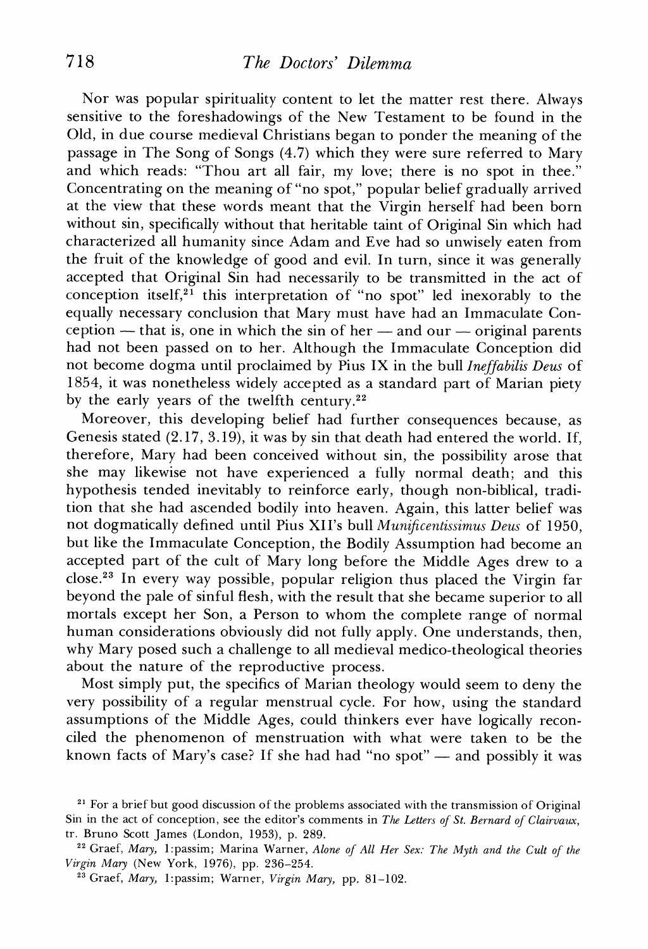Nor was popular spirituality content to let the matter rest there. Always sensitive to the foreshadowings of the New Testament to be found in the Old, in due course medieval Christians began to ponder the meaning of the passage in The Song of Songs (4.7) which they were sure referred to Mary and which reads: "Thou art all fair, my love; there is no spot in thee." Concentrating on the meaning of "no spot," popular belief gradually arrived at the view that these words meant that the Virgin herself had been born without sin, specifically without that heritable taint of Original Sin which had characterized all humanity since Adam and Eve had so unwisely eaten from the fruit of the knowledge of good and evil. In turn, since it was generally accepted that Original Sin had necessarily to be transmitted in the act of conception itself, $2i$  this interpretation of "no spot" led inexorably to the equally necessary conclusion that Mary must have had an Immaculate Conception — that is, one in which the sin of her — and our — original parents had not been passed on to her. Although the Immaculate Conception did not become dogma until proclaimed by Pius IX in the bull **Ineffabilis** Deus of 1854, it was nonetheless widely accepted as a standard part of Marian piety by the early years of the twelfth century.<sup>22</sup>

Moreover, this developing belief had further consequences because, as Genesis stated (2.17, 3.19), it was by sin that death had entered the world. If, therefore, Mary had been conceived without sin, the possibility arose that she may likewise not have experienced a fully normal death; and this hypothesis tended inevitably to reinforce early, though non-biblical, tradition that she had ascended bodily into heaven. Again, this latter belief was not dogmatically defined until Pius XII's bull *Munificentissimus Deus* of 1950, but like the Immaculate Conception, the Bodily Assumption had become an accepted part of the cult of Mary long before the Middle Ages drew to a close.23 In every way possible, popular religion thus placed the Virgin far beyond the pale of sinful flesh, with the result that she became superior to all mortals except her Son, a Person to whom the complete range of normal human considerations obviously did not fully apply. One understands, then, why Mary posed such a challenge to all medieval medico-theological theories about the nature of the reproductive process.

Most simply put, the specifics of Marian theology would seem to deny the very possibility of a regular menstrual cycle. For how, using the standard assumptions of the Middle Ages, could thinkers ever have logically reconciled the phenomenon of menstruation with what were taken to be the assumptions of the Middle Ages, could thinkers ever have logically reconciled the phenomenon of menstruation with what were taken to be the<br>known facts of Mary's case? If she had had "no spot" — and possibly it was

<sup>&</sup>lt;sup>21</sup> For a brief but good discussion of the problems associated with the transmission of Original Sin in the act of conception, see the editor's comments in *The Letters of St. Bernard of Clairvaux*, tr. Bruno Scott James (London, 1953), p. 289.

*<sup>22</sup>*Graef, *Mary,* 1:passim; Marina Warner, *Alone of All Her Sex: The Myth and the Cult of the Virgin Mary* (New York, 1976), pp. 236-254.

*<sup>23</sup>* Graef, *Mary,* 1:passim; Warner, *Virgin Mary,* pp. 81-102.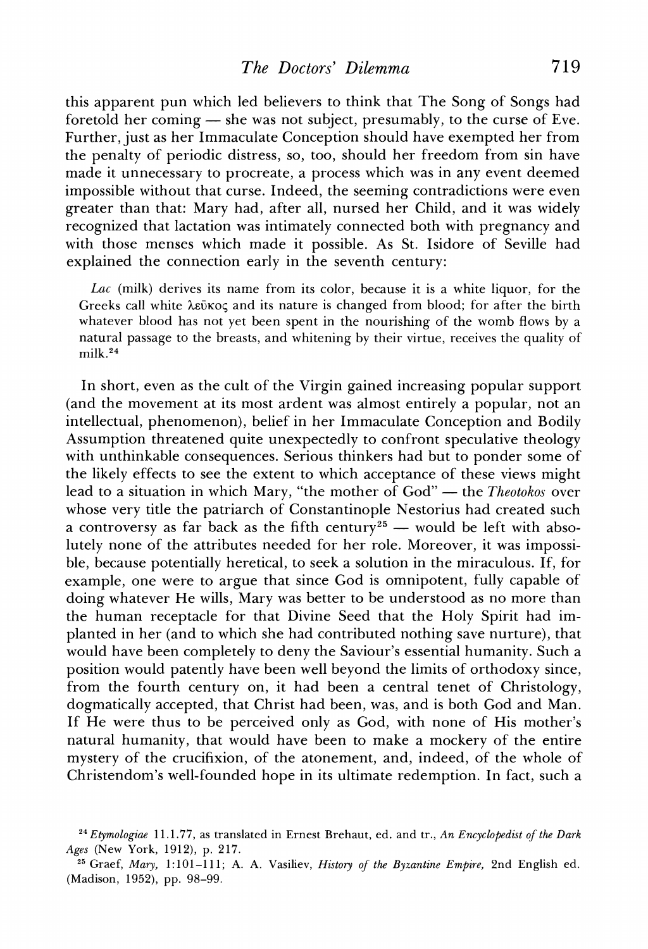this apparent pun which led believers to think that The Song of Songs had foretold her coming  $-$  she was not subject, presumably, to the curse of Eve. Further, just as her Immaculate Conception should have exempted her from the penalty of periodic distress, so, too, should her freedom from sin have made it unnecessary to procreate, a process which was in any event deemed impossible without that curse. Indeed, the seeming contradictions were even greater than that: Mary had, after all, nursed her Child, and it was widely recognized that lactation was intimately connected both with pregnancy and with those menses which made it possible. As St. Isidore of Seville had explained the connection early in the seventh century:

Lac (milk) derives its name from its color, because it is a white liquor, for the Greeks call white  $\lambda \in \mathfrak{S}$  and its nature is changed from blood; for after the birth whatever blood has not yet been spent in the nourishing of the womb flows by a natural passage to the breasts, and whitening by their virtue, receives the quality of milk.24

In short, even as the cult of the Virgin gained increasing popular support (and the movement at its most ardent was almost entirely a popular, not an intellectual, phenomenon), belief in her Immaculate Conception and Bodily Assumption threatened quite unexpectedly to confront speculative theology with unthinkable consequences. Serious thinkers had but to ponder some of the likely effects to see the extent to which acceptance of these views might lead to a situation in which Mary, "the mother of God" — the *Theotokos* over whose very title the patriarch of Constantinople Nestorius had created such lead to a situation in which Mary, "the mother of  $God$ " — the *Theotokos* over<br>whose very title the patriarch of Constantinople Nestorius had created such<br>a controversy as far back as the fifth century<sup>25</sup> — would be left lutely none of the attributes needed for her role. Moreover, it was impossible, because potentially heretical, to seek a solution in the miraculous. If, for example, one were to argue that since God is omnipotent, fully capable of doing whatever He wills, Mary was better to be understood as no more than the human receptacle for that Divine Seed that the Holy Spirit had implanted in her (and to which she had contributed nothing save nurture), that would have been completely to deny the Saviour's essential humanity. Such a position would patently have been well beyond the limits of orthodoxy since, from the fourth century on, it had been a central tenet of Christology, dogmatically accepted, that Christ had been, was, and is both God and Man. If He were thus to be perceived only as God, with none of His mother's natural humanity, that would have been to make a mockery of the entire mystery of the crucifixion, of the atonement, and, indeed, of the whole of Christendom's well-founded hope in its ultimate redemption. In fact, such a

<sup>&#</sup>x27;\* *Etymologiae* 11.1.77, as translated in Ernest Brehaut, ed. and tr., *An Encyclopedist ofthe Dark Ages* (New York, 1912), p. 217.

**<sup>25</sup>**Graef, *Mary,* 1:101-111; A. *A.* Vasiliev, *History of the Byzantine Empire,* 2nd English ed. (Madison, 1952), pp. 98-99.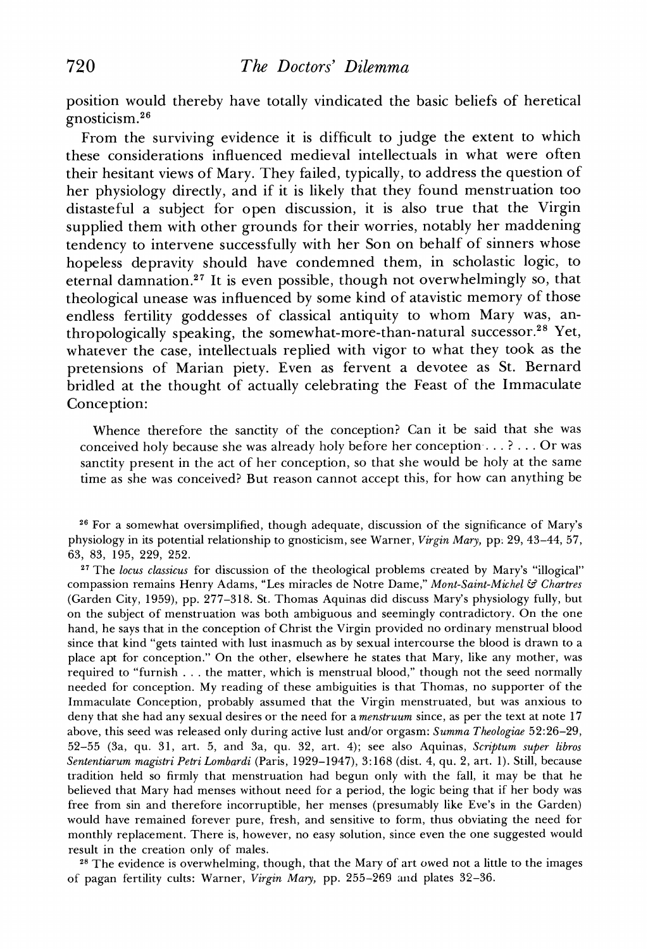position would thereby have totally vindicated the basic beliefs of heretical  $g$ nosticism.<sup>26</sup>

From the surviving evidence it is difficult to judge the extent to which these considerations influenced medieval intellectuals in what were often their hesitant views of Mary. They failed, typically, to address the question of her physiology directly, and if it is likely that they found menstruation too distasteful a subject for open discussion, it is also true that the Virgin supplied them with other grounds for their worries, notably her maddening tendency to intervene successfully with her Son on behalf of sinners whose hopeless depravity should have condemned them, in scholastic logic, to eternal damnation.<sup>27</sup> It is even possible, though not overwhelmingly so, that theological unease was influenced by some kind of atavistic memory of those endless fertility goddesses of classical antiquity to whom Mary was, anthropologically speaking, the somewhat-more-than-natural successor.28 Yet, whatever the case, intellectuals replied with vigor to what they took as the pretensions of Marian piety. Even as fervent a devotee as St. Bernard bridled at the thought of actually celebrating the Feast of the Immaculate Conception:

Whence therefore the sanctity of the conception? Can it be said that she was conceived holy because she was already holy before her conception . . . ? . . . Or was sanctity present in the act of her conception, so that she would be holy at the same time as she was conceived? But reason cannot accept this, for how can anything be

**<sup>26</sup>**For a somewhat oversimplified, though adequate, discussion of the significance of Mary's physiology in its potential relationship to gnosticism, see Warner, *Virgin Mar)),* pp. 29, 43-44, 57, 63, 83, 195, 229, 252.

**<sup>27</sup>**The *locus classicus* for discussion of the theological problems created by Mary's "illogical" compassion remains Henry Adams, "Les miracles de Notre Dame," Mont-Saint-Michel & Chartres (Garden City, 1959), pp. 277-318. St. Thomas Aquinas did discuss Mary's physiology fully, but on the subject of menstruation was both ambiguous and seemingly contradictory. On the one hand, he says that in the conception of Christ the Virgin provided no ordinary menstrual blood since that kind "gets tainted with lust inasmuch as by sexual intercourse the blood is drawn to a place apt for conception." On the other, elsewhere he states that Mary, like any mother, was required to "furnish . . . the matter, which is menstrual blood," though not the seed normally needed for conception. My reading of these ambiguities is that Thomas, no supporter of the Immaculate Conception, probably assumed that the Virgin menstruated, but was anxious to deny that she had any sexual desires or the need for a *menstruum* since, as per the text at note 17 above, this seed was released only during active lust andor orgasm: *Summa Theologiae* 52:26-29, 52-55 (3a, qu. 31, art. 5, and 3a, qu. 32, art. 4); see also Aquinas, *Scriptum super libros Sententiarum magzstri Petri Lombardi* (Paris, 1929-1947), 3:168 (dist. 4, qu. 2, art. 1). Still, because tradition held so firmly that menstruation had begun only with the fall, it may be that he believed that Mary had menses without need for a period, the logic being that if her body was free from sin and therefore incorruptible, her menses (presumably like Eve's in the Garden) would have remained forever pure, fresh, and sensitive to form, thus obviating the need for monthly replacement. There is, however, no easy solution, since even the one suggested would result in the creation only of males.

**<sup>28</sup>**The evidence is overwhelming, though, that the Mary of art owed not a little to the images of pagan fertility cults: Warner, Virgin Mary, pp. 255-269 and plates 32-36.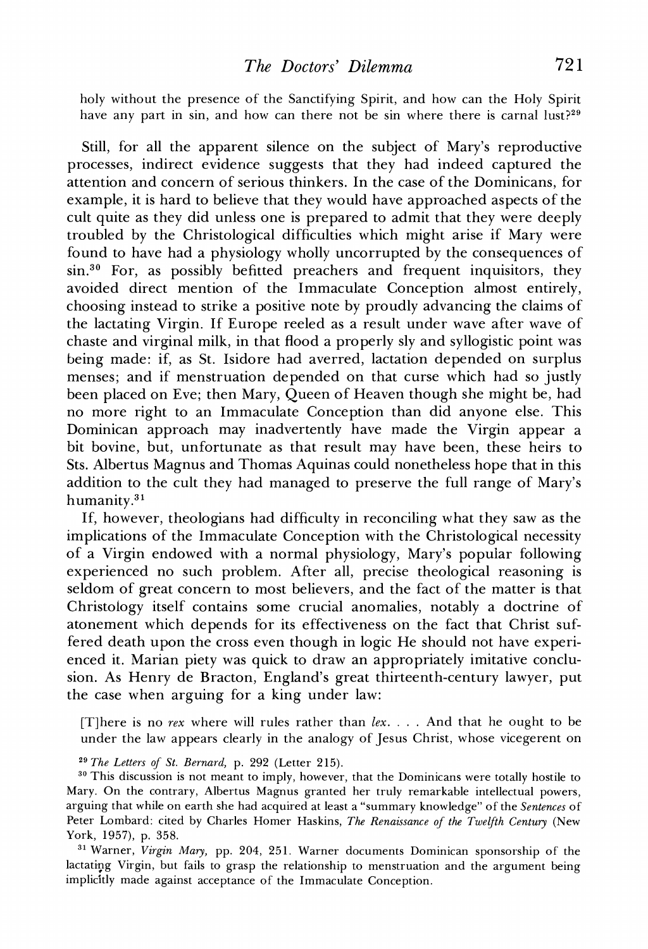holy without the presence of the Sanctifying Spirit, and how can the Holy Spirit have any part in sin, and how can there not be sin where there is carnal lust?<sup>29</sup>

Still, for all the apparent silence on the subject of Mary's reproductive processes, indirect evidence suggests that they had indeed captured the attention and concern of serious thinkers. In the case of the Dominicans, for example, it is hard to believe that they would have approached aspects of the cult quite as they did unless one is prepared to admit that they were deeply troubled by the Christological difficulties which might arise if Mary were found to have had a physiology wholly uncorrupted by the consequences of sin.<sup>30</sup> For, as possibly befitted preachers and frequent inquisitors, they avoided direct mention of the Immaculate Conception almost entirely, choosing instead to strike a positive note by proudly advancing the claims of the lactating Virgin. If Europe reeled as a result under wave after wave of chaste and virginal milk, in that flood a properly sly and syllogistic point was being made: if, as St. Isidore had averred, lactation depended on surplus menses; and if menstruation depended on that curse which had so justly been placed on Eve; then Mary, Queen of Heaven though she might be, had no more right to an Immaculate Conception than did anyone else. This Dominican approach may inadvertently have made the Virgin appear a bit bovine, but, unfortunate as that result may have been, these heirs to Sts. Albertus Magnus and Thomas Aquinas could nonetheless hope that in this addition to the cult they had managed to preserve the full range of Mary's humanity.31

If, however, theologians had difficulty in reconciling what they saw as the implications of the Immaculate Conception with the Christological necessity of a Virgin endowed with a normal physiology, Mary's popuiar following experienced no such problem. After all, precise theological reasoning is seldom of great concern to most believers, and the fact of the matter is that Christology itself contains some crucial anomalies, notably a doctrine of atonement which depends for its effectiveness on the fact that Christ suffered death upon the cross even though in logic He should not have experienced it. Marian piety was quick to draw an appropriately imitative conclusion. As Henry de Bracton, England's great thirteenth-century lawyer, put the case when arguing for a king under law:

[Tlhere is no *rex* where will rules rather than *lex.* . . . And that he ought to be under the law appears clearly in the analogy of Jesus Christ, whose vicegerent on

**<sup>29</sup>***The Letters* of *St. Bernard,* p. 292 (Letter 215).

**<sup>30</sup>**This discussion is not meant to imply, however, that the Dominicans were totally hostile to Mary. On the contrary, Albertus Magnus granted her truly remarkable intellectual powers, arguing that while on earth she had acquired at least a "summary knowledge" of the *Sentences* of Peter Lombard: cited by Charles Homer Haskins, *The Renaissance of the Twelfth Century* (New York, 1957), p. 358.

**<sup>31</sup>**Warner, *Virgin Mary,* pp. 204, 251. Warner documents Dominican sponsorship of the lactatipg Virgin, but fails to grasp the relationship to menstruation and the argument being implicitly made against acceptance of the Immaculate Conception.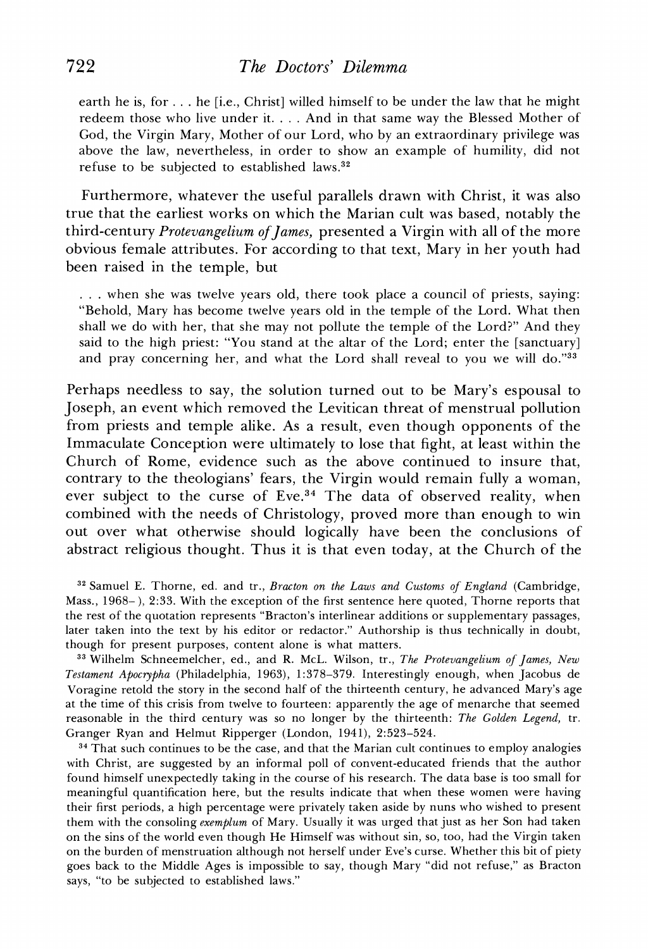earth he is, for . . . he [i.e., Christ] willed himself to be under the law that he might redeem those who live under it. . . . And in that same way the Blessed Mother of God, the Virgin Mary, Mother of our Lord, who by an extraordinary privilege was above the law, nevertheless, in order to show an example of humility, did not refuse to be subjected to established laws. $32$ 

Furthermore, whatever the useful parallels drawn with Christ, it was also true that the earliest works on which the Marian cult was based, notably the third-century *Protevangelium of James,* presented a Virgin with all of the more obvious female attributes. For according to that text, Mary in her youth had been raised in the temple, but

. . . when she was twelve years old, there took place a council of priests, saying: "Behold, Mary has become twelve years old in the temple of the Lord. What then shall we do with her, that she may not pollute the temple of the Lord?" And they said to the high priest: "You stand at the altar of the Lord; enter the [sanctuary] and pray concerning her, and what the Lord shall reveal to you we will do."33

Perhaps needless to say, the solution turned out to be Mary's espousal to Joseph, an event which removed the Levitican threat of menstrual pollution from priests and temple alike. As a result, even though opponents of the Immaculate Conception were ultimately to lose that fight, at least within the Church of Rome, evidence such as the above continued to insure that, contrary to the theologians' fears, the Virgin would remain fully a woman, ever subject to the curse of Eve.34 The data of observed reality, when combined with the needs of Christology, proved more than enough to win out over what otherwise should logically have been the conclusions of abstract religious thought. Thus it is that even today, at the Church of the

<sup>32</sup> Samuel E. Thorne, ed. and tr., *Bracton on the Laws and Customs of England* (Cambridge, Mass., 1968-), 2:33. With the exception of the first sentence here quoted, Thorne reports that the rest of the quotation represents "Bracton's interlinear additions or supplementary passages, later taken into the text by his editor or redactor." Authorship is thus technically in doubt, though for present purposes, content alone is what matters.

**<sup>33</sup>**Wilhelm Schneemelcher, ed., and R. McL. Wilson, tr., *The Proteuangelium of James, New Testament Apocppha* (Philadelphia, 1963), 1:378-379. Interestingly enough, when Jacobus de Voragine retold the story in the second half of the thirteenth century, he advanced Mary's age at the time of this crisis from twelve to fourteen: apparently the age of menarche that seemed reasonable in the third century was so no longer by the thirteenth: *The Golden Legend,* tr. Granger Ryan and Helmut Ripperger (London, 1941), 2:523-524.

**<sup>34</sup>**That such continues to be the case, and that the Marian cult continues to employ analogies with Christ, are suggested by an informal poll of convent-educated friends that the author found himself unexpectedly taking in the course of his research. The data base is too small for meaningful quantification here, but the results indicate that when these women were having their first periods, a high percentage were privately taken aside by nuns who wished to present them with the consoling *exemplum* of Mary. Usually it was urged that just as her Son had taken on the sins of the world even though He Himself was without sin, so, too, had the Virgin taken on the burden of menstruation although not herself under Eve's curse. Whether this bit of piety goes back to the Middle Ages is impossible to say, though Mary "did not refuse," as Bracton says, "to be subjected to established laws."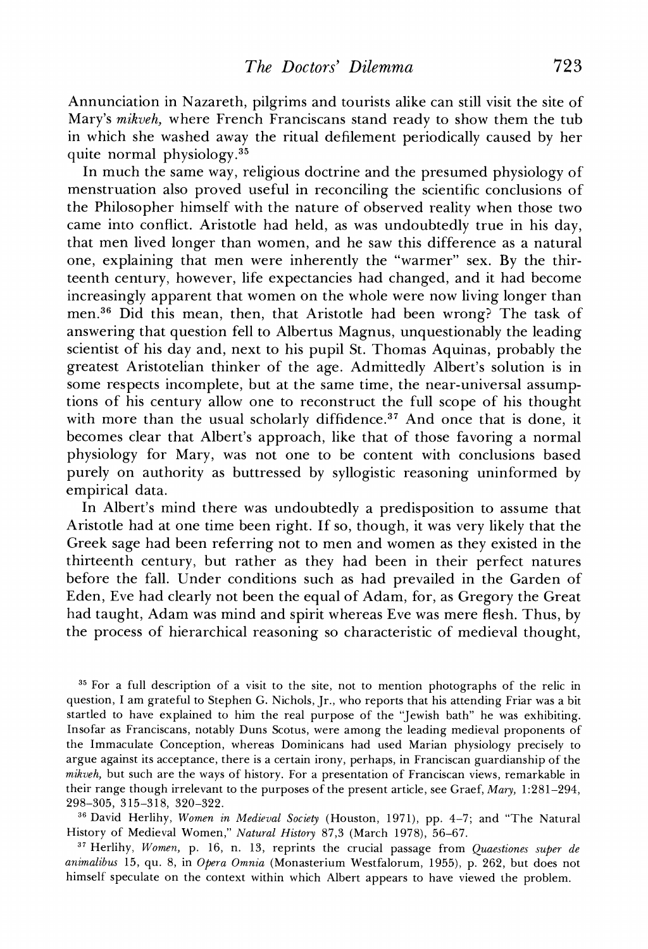Annunciation in Nazareth, pilgrims and tourists alike can still visit the site of Mary's mikveh, where French Franciscans stand ready to show them the tub in which she washed away the ritual defilement periodically caused by her quite normal physiology. $35$ 

In much the same way, religious doctrine and the presumed physiology of menstruation also proved useful in reconciling the scientific conclusions of the Philosopher himself with the nature of observed reality when those two came into conflict. Aristotle had held, as was undoubtedly true in his day, that men lived longer than women, and he saw this difference as a natural one, explaining that men were inherently the "warmer" sex. By the thirteenth century, however, life expectancies had changed, and it had become increasingly apparent that women on the whole were now living longer than men.36 Did this mean, then, that Aristotle had been wrong? The task of answering that question fell to Albertus Magnus, unquestionably the leading scientist of his day and, next to his pupil St. Thomas Aquinas, probably the greatest Aristotelian thinker of the age. Admittedly Albert's solution is in some respects incomplete, but at the same time, the near-universal assumptions of his century allow one to reconstruct the full scope of his thought with more than the usual scholarly diffidence.<sup>37</sup> And once that is done, it becomes clear that Albert's approach, like that of those favoring a normal physiology for Mary, was not one to be content with conclusions based purely on authority as buttressed by syllogistic reasoning uninformed by empirical data.

In Albert's mind there was undoubtedly a predisposition to assume that Aristotle had at one time been right. If so, though, it was very likely that the Greek sage had been referring not to men and women as they existed in the thirteenth century, but rather as they had been in their perfect natures before the fall. Under conditions such as had prevailed in the Garden of Eden, Eve had clearly not been the equal of Adam, for, as Gregory the Great had taught, Adam was mind and spirit whereas Eve was mere flesh. Thus, by the process of hierarchical reasoning so characteristic of medieval thought,

**<sup>35</sup>**For a full description of a visit to the site, not to mention photographs of the relic in question, I am grateful to Stephen G. Nichols, Jr., who reports that his attending Friar was a bit startled to have explained to him the real purpose of the "Jewish bath" he was exhibiting. Insofar as Franciscans, notably Duns Scotus, were among the leading medieval proponents of the Immaculate Conception, whereas Dominicans had used Marian physiology precisely to argue against its acceptance, there is a certain irony, perhaps, in Franciscan guardianship of the *mikveh,* but such are the ways of history. For a presentation of Franciscan views, remarkable in their range though irrelevant to the purposes of the present article, see Graef, *Mary,* 1:281-294, 298-305, 315-318, 320-322.

*3G* David Herlihy, *Women in Medieval Society* (Houston, 1971), pp. 4-7; and "The Natural History of Medieval Women," *Natural History* 87,3 (March 1978), 56-67.

<sup>37</sup> Herlihy, *Women*, p. 16, n. 13, reprints the crucial passage from *Quaestiones super de animalibus* 15, qu. 8, in *Opera Omnia* (Monasterium Westfalorum, 1955), p. 262, but does not himself speculate on the context within which Albert appears to have viewed the problem.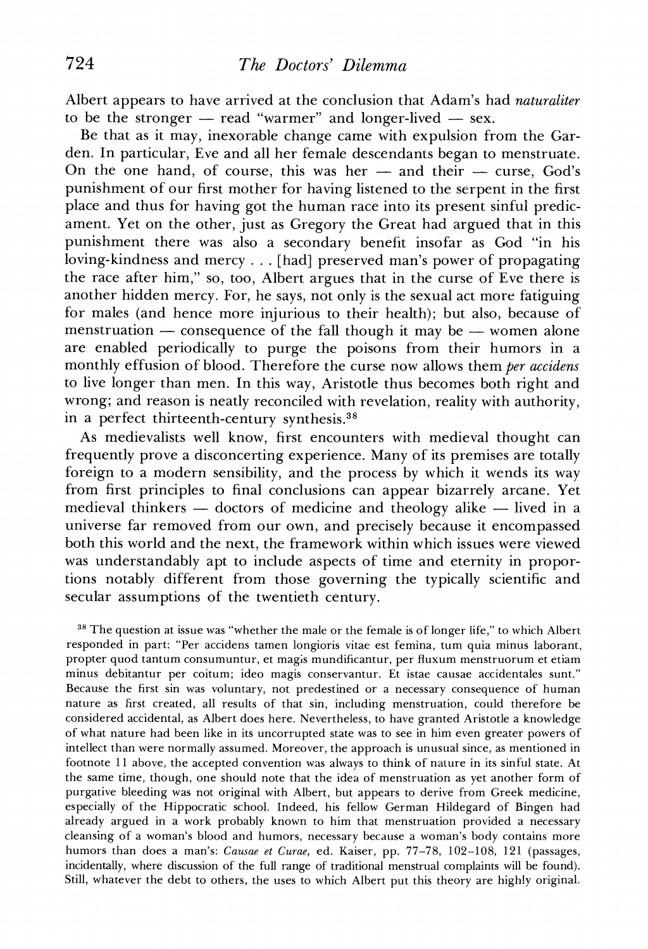Albert appears to have arrived at the conclusion that Adam's had *naturaliter*  to be the stronger  $-$  read "warmer" and longer-lived  $-$  sex.

Be that as it may, inexorable change came with expulsion from the Garden. In particular, Eve and all her female descendants began to menstruate. Be that as it may, inexorable change came with expulsion from the Gar-<br>den. In particular, Eve and all her female descendants began to menstruate.<br>On the one hand, of course, this was her — and their — curse, God's punishment of our first mother for having listened to the serpent in the first place and thus for having got the human race into its present sinful predicament. Yet on the other, just as Gregory the Great had argued that in this punishment there was also a secondary benefit insofar as God "in his loving-kindness and mercy . . . [had] preserved man's power of propagating the race after him," so, too, Albert argues that in the curse of Eve there is another hidden mercy. For, he says, not only is the sexual act more fatiguing for males (and hence more injurious to their health); but also, because of another hidden mercy. For, he says, not only is the sexual act more fatiguing<br>for males (and hence more injurious to their health); but also, because of<br>menstruation — consequence of the fall though it may be — women alone are enabled periodically to purge the poisons from their humors in a monthly effusion of blood. Therefore the curse now allows them *per accidens*  to live longer than men. In this way, Aristotle thus becomes both right and wrong; and reason is neatly reconciled with revelation, reality with authority, in a perfect thirteenth-century synthesis.38

As medievalists well know, first encounters with medieval thought can frequently prove a disconcerting experience. Many of its premises are totally foreign to a modern sensibility, and the process by which it wends its way from first pririciples to final conclusions can appear bizarrely arcane. Yet foreign to a modern sensibility, and the process by which it wends its way<br>from first principles to final conclusions can appear bizarrely arcane. Yet<br>medieval thinkers — doctors of medicine and theology alike — lived in a universe far removed from our own, and precisely because it encompassed both this world and the next, the framework within which issues were viewed was understandably apt to include aspects of time and eternity in proportions notably different from those governing the typically scientific and secular assumptions of the twentieth century.

**<sup>38</sup>**The question at issue was "whether the male or the female is of longer life," to which Albert responded in part: "Per accidens tamen longioris vitae est femina, tum quia minus laborant, propter quod tantum consumuntur, et magis mundificantur, per fluxum menstruorum et etiam minus debitantur per coitum; ideo magis conservantur. Et istae causae accidentales sunt." Because the first sin was voluntary, not predestined or a necessary consequence of human nature as first created, all results of that sin, including menstruation, could therefore be considered accidental, as Albert does here. Nevertheless, to have granted Aristotle a knowledge of what nature had been like in its uncorrupted state was to see in him even greater powers of intellect than were normally assumed. Moreover, the approach is unusual since, as mentioned in footnote 11 above, the accepted convention was always to think of nature in its sinful state. At the same time, though, one should note that the idea of menstruation as yet another form of purgative bleeding was not original with Albert, but appears to derive from Greek medicine, especially of the Hippocratic school. Indeed, his fellow German Hildegard of Bingen had already argued in a work probably known to him that menstruation provided a necessary cleansing of a woman's blood and humors, necessary because a woman's body contains more humors than does a man's: *Caurae et Curae,* ed. Kaiser, pp. 77-78, 102-108, 121 (passages, incidentally, where discussion of the full range of traditional menstrual complaints will be found). Still, whatever the debt to others, the uses to which Albert put this theory are highly original.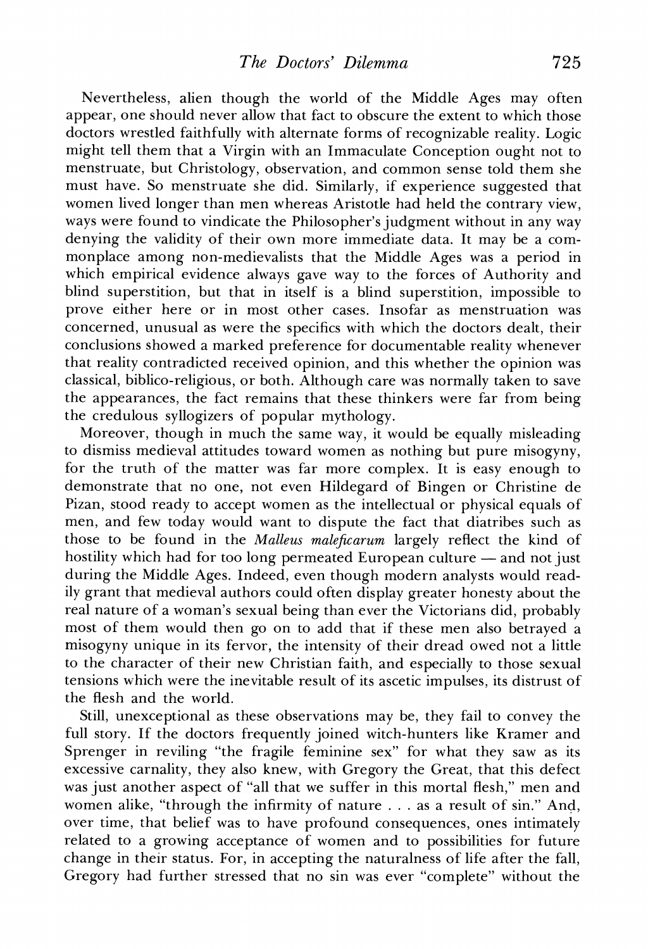Nevertheless, alien though the world of the Middle Ages may often appear, one should never allow that fact to obscure the extent to which those doctors wrestled faithfully with alternate forms of recognizable reality. Logic might tell them that a Virgin with an Immaculate Conception ought not to menstruate, but Christology, observation, and common sense told them she must have. So menstruate she did. Similarly, if experience suggested that women lived longer than men whereas Aristotle had held the contrary view, ways were found to vindicate the Philosopher's judgment without in any way denying the validity of their own more immediate data. It may be a commonplace among non-medievalists that the Middle Ages was a period in which empirical evidence always gave way to the forces of Authority and blind superstition, but that in itself is a blind superstition, impossible to prove either here or in most other cases. Insofar as menstruation was concerned, unusual as were the specifics with which the doctors dealt, their conclusions showed a marked preference for documentable reality whenever that reality contradicted received opinion, and this whether the opinion was classical, biblico-religious, or both. Although care was normally taken to save the appearances, the fact remains that these thinkers were far from being the credulous syllogizers of popular mythology.

Moreover, though in much the same way, it would be equally misleading to dismiss medieval attitudes toward women as nothing but pure misogyny, for the truth of the matter was far more complex. It is easy enough to demonstrate that no one, not even Hildegard of Bingen or Christine de Pizan, stood ready to accept women as the intellectual or physical equals of men, and few today would want to dispute the fact that diatribes such as those to be found in the *Malleus maleficarum* largely reflect the kind of men, and few today would want to dispute the fact that diatribes such as<br>those to be found in the *Malleus maleficarum* largely reflect the kind of<br>hostility which had for too long permeated European culture — and not just during the Middle Ages. Indeed, even though modern analysts would readily grant that medieval authors could often display greater honesty about the real nature of a woman's sexual being than ever the Victorians did, probably most of them would then go on to add that if these men also betrayed a misogyny unique in its fervor, the intensity of their dread owed not a little to the character of their new Christian faith, and especially to those sexual tensions which were the inevitable result of its ascetic impulses, its distrust of the flesh and the world.

Still, unexceptional as these observations may be, they fail to convey the full story. If the doctors frequently joined witch-hunters like Kramer and Sprenger in reviling "the fragile feminine sex" for what they saw as its excessive carnality, they also knew, with Gregory the Great, that this defect was just another aspect of "all that we suffer in this mortal flesh," men and women alike, "through the infirmity of nature . . . as a result of sin." And, over time, that belief was to have profound consequences, ones intimately related to a growing acceptance of women and to possibilities for future change in their status. For, in accepting the naturalness of life after the fall, Gregory had further stressed that no sin was ever "complete" without the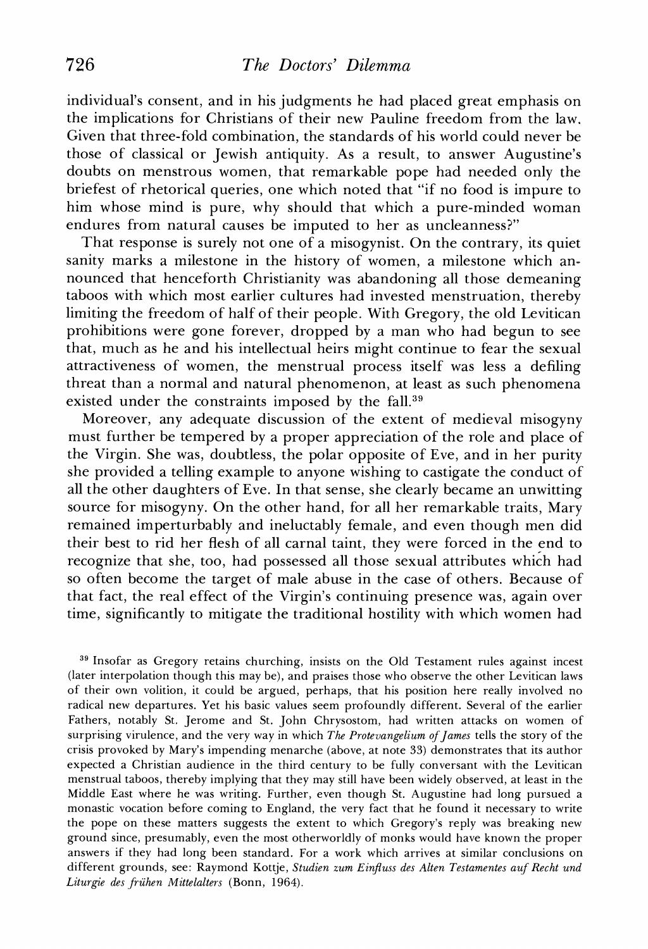individual's consent, and in his judgments he had placed great emphasis on the implications for Christians of their new Pauline freedom from the law. Given that three-fold combination, the standards of his world could never be those of classical or Jewish antiquity. As a result, to answer Augustine's doubts on menstrous women, that remarkable pope had needed only the briefest of rhetorical queries, one which noted that "if no food is impure to him whose mind is pure, why should that which a pure-minded woman endures from natural causes be imputed to her as uncleanness?"

That response is surely not one of a misogynist. On the contrary, its quiet sanity marks a milestone in the history of women, a milestone which announced that henceforth Christianity was abandoning all those demeaning taboos with which most earlier cultures had invested menstruation, thereby limiting the freedom of half of their people. With Gregory, the old Levitican prohibitions were gone forever, dropped by a man who had begun to see that, much as he and his intellectual heirs might continue to fear the sexual attractiveness of women, the menstrual process itself was less a defiling threat than a normal and natural phenomenon, at least as such phenomena existed under the constraints imposed by the fall.<sup>39</sup>

Moreover, any adequate discussion of the extent of medieval misogyny must further be tempered by a proper appreciation of the role and place of the Virgin. She was, doubtless, the polar opposite of Eve, and in her purity she provided a telling example to anyone wishing to castigate the conduct of all the other daughters of Eve. In that sense, she clearly became an unwitting source for misogyny. On the other hand, for all her remarkable traits, Mary remained imperturbably and ineluctably female, and even though men did their best to rid her flesh of all carnal taint, they were forced in the end to recognize that she, too, had possessed all those sexual attributes which had so often become the target of male abuse in the case of others. Because of that fact, the real effect of the Virgin's continuing presence was, again over time, significantly to mitigate the traditional hostility with which women had

<sup>39</sup> Insofar as Gregory retains churching, insists on the Old Testament rules against incest (later interpolation though this may be), and praises those who observe the other Levitican laws of their own volition, it could be argued, perhaps, that his position here really involved no radical new departures. Yet his basic values seem profoundly different. Several of the earlier Fathers, notably St. Jerome and St. John Chrysostom, had written attacks on women of surprising virulence, and the very way in which *The Proteuangelium of James* tells the story of the crisis provoked by Mary's impending menarche (above, at note 33) demonstrates that its author expected a Christian audience in the third century to be fully conversant with the Levitican menstrual taboos, thereby implying that they may still have been widely observed, at least in the Middle East where he was writing. Further, even though St. Augustine had long pursued a monastic vocation before coming to England, the very fact that he found it necessary to write the pope on these matters suggests the extent to which Gregory's reply was breaking new ground since, presumably, even the most otherworldly of monks would have known the proper answers if they had long been standard. For a work which arrives at similar conclusions on different grounds, see: Raymond Kottje, *Studien zum EinJuss des Alten Testamentes auf Recht und*  Liturgie des frühen Mittelalters (Bonn, 1964).